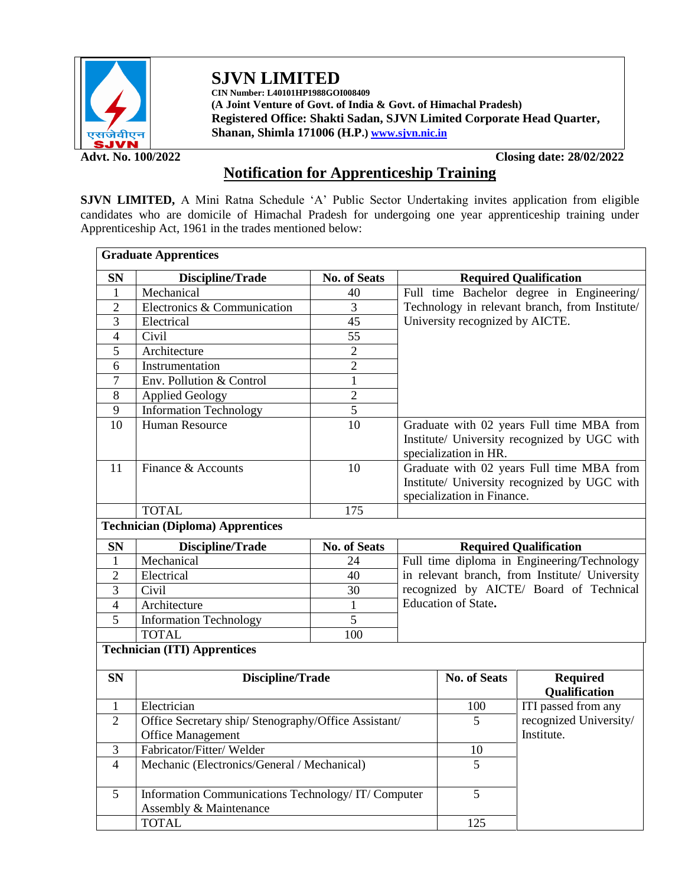

**SJVN LIMITED CIN Number: L40101HP1988GOI008409 (A Joint Venture of Govt. of India & Govt. of Himachal Pradesh)**

**Registered Office: Shakti Sadan, SJVN Limited Corporate Head Quarter, Shanan, Shimla 171006 (H.P.[\) www.sjvn.nic.in](http://www.sjvn.nic.in/)**

**Advt. No. 100/2022 Closing date: 28/02/2022**

## **Notification for Apprenticeship Training**

**SJVN LIMITED,** A Mini Ratna Schedule 'A' Public Sector Undertaking invites application from eligible candidates who are domicile of Himachal Pradesh for undergoing one year apprenticeship training under Apprenticeship Act, 1961 in the trades mentioned below:

|                | <b>Graduate Apprentices</b>                          |                     |                                                                                                                         |                                 |                                  |  |
|----------------|------------------------------------------------------|---------------------|-------------------------------------------------------------------------------------------------------------------------|---------------------------------|----------------------------------|--|
| <b>SN</b>      | <b>Discipline/Trade</b>                              | <b>No. of Seats</b> | <b>Required Qualification</b>                                                                                           |                                 |                                  |  |
| 1              | Mechanical                                           | 40                  | Full time Bachelor degree in Engineering/                                                                               |                                 |                                  |  |
| $\overline{2}$ | Electronics & Communication                          | $\overline{3}$      | Technology in relevant branch, from Institute/                                                                          |                                 |                                  |  |
| 3              | Electrical                                           | 45                  |                                                                                                                         | University recognized by AICTE. |                                  |  |
| 4              | Civil                                                | 55                  |                                                                                                                         |                                 |                                  |  |
| 5              | Architecture                                         | $\overline{2}$      |                                                                                                                         |                                 |                                  |  |
| 6              | Instrumentation                                      | $\overline{2}$      |                                                                                                                         |                                 |                                  |  |
| $\tau$         | Env. Pollution & Control                             | $\mathbf{1}$        |                                                                                                                         |                                 |                                  |  |
| 8              | <b>Applied Geology</b>                               | $\overline{2}$      |                                                                                                                         |                                 |                                  |  |
| 9              | <b>Information Technology</b>                        | 5                   |                                                                                                                         |                                 |                                  |  |
| 10             | <b>Human Resource</b>                                | 10                  | Graduate with 02 years Full time MBA from<br>Institute/ University recognized by UGC with<br>specialization in HR.      |                                 |                                  |  |
| 11             | Finance & Accounts                                   | 10                  | Graduate with 02 years Full time MBA from<br>Institute/ University recognized by UGC with<br>specialization in Finance. |                                 |                                  |  |
|                | <b>TOTAL</b>                                         | 175                 |                                                                                                                         |                                 |                                  |  |
|                | <b>Technician (Diploma) Apprentices</b>              |                     |                                                                                                                         |                                 |                                  |  |
| <b>SN</b>      | Discipline/Trade                                     | <b>No. of Seats</b> | <b>Required Qualification</b>                                                                                           |                                 |                                  |  |
| 1              | Mechanical                                           | 24                  | Full time diploma in Engineering/Technology                                                                             |                                 |                                  |  |
| $\overline{2}$ | Electrical                                           | 40                  | in relevant branch, from Institute/ University                                                                          |                                 |                                  |  |
| 3              | Civil                                                | 30                  | recognized by AICTE/ Board of Technical                                                                                 |                                 |                                  |  |
| $\overline{4}$ | Architecture                                         | $\mathbf{1}$        | Education of State.                                                                                                     |                                 |                                  |  |
| 5              | <b>Information Technology</b>                        | 5                   |                                                                                                                         |                                 |                                  |  |
|                | <b>TOTAL</b>                                         | 100                 |                                                                                                                         |                                 |                                  |  |
|                | <b>Technician (ITI) Apprentices</b>                  |                     |                                                                                                                         |                                 |                                  |  |
| <b>SN</b>      | <b>Discipline/Trade</b>                              |                     |                                                                                                                         | <b>No. of Seats</b>             | <b>Required</b><br>Qualification |  |
| 1              | Electrician                                          |                     |                                                                                                                         | 100                             | ITI passed from any              |  |
| $\overline{2}$ | Office Secretary ship/ Stenography/Office Assistant/ |                     |                                                                                                                         | 5                               | recognized University/           |  |
|                | <b>Office Management</b>                             |                     |                                                                                                                         |                                 | Institute.                       |  |
| 3              | Fabricator/Fitter/Welder                             |                     |                                                                                                                         | 10                              |                                  |  |
| $\overline{4}$ | Mechanic (Electronics/General / Mechanical)          | 5                   |                                                                                                                         |                                 |                                  |  |
|                |                                                      |                     | Information Communications Technology/IT/Computer                                                                       |                                 |                                  |  |
| 5              | Assembly & Maintenance                               |                     |                                                                                                                         | $\overline{5}$                  |                                  |  |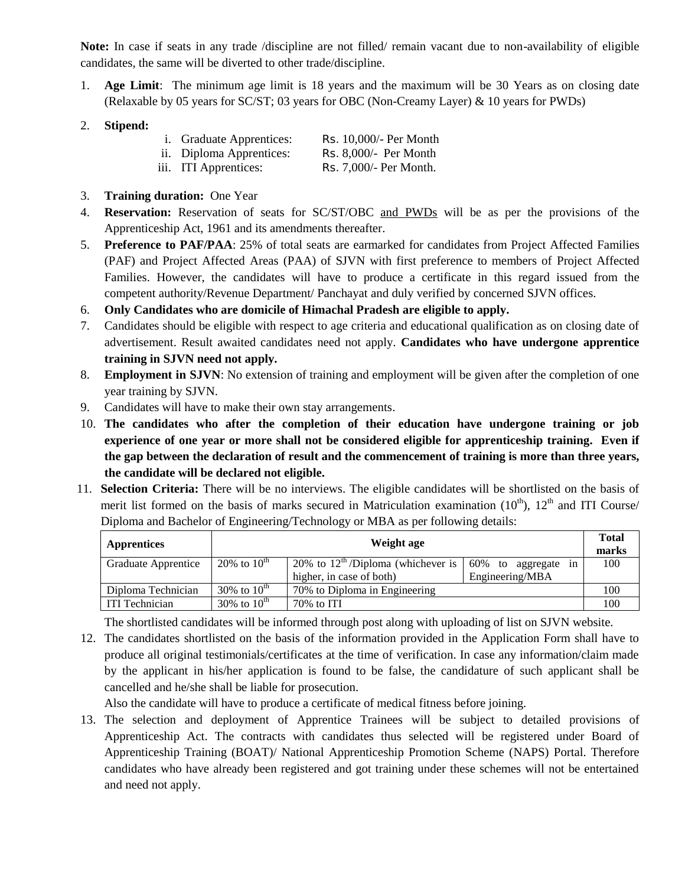**Note:** In case if seats in any trade /discipline are not filled/ remain vacant due to non-availability of eligible candidates, the same will be diverted to other trade/discipline.

- 1. **Age Limit**: The minimum age limit is 18 years and the maximum will be 30 Years as on closing date (Relaxable by 05 years for SC/ST; 03 years for OBC (Non-Creamy Layer) & 10 years for PWDs)
- 2. **Stipend:**

| <i>i.</i> Graduate Apprentices: | Rs. 10,000/- Per Month |
|---------------------------------|------------------------|
|---------------------------------|------------------------|

- ii. Diploma Apprentices: Rs. 8,000/- Per Month
- iii. ITI Apprentices: Rs. 7,000/- Per Month.
- 3. **Training duration:** One Year
- 4. **Reservation:** Reservation of seats for SC/ST/OBC and PWDs will be as per the provisions of the Apprenticeship Act, 1961 and its amendments thereafter.
- 5. **Preference to PAF/PAA**: 25% of total seats are earmarked for candidates from Project Affected Families (PAF) and Project Affected Areas (PAA) of SJVN with first preference to members of Project Affected Families. However, the candidates will have to produce a certificate in this regard issued from the competent authority/Revenue Department/ Panchayat and duly verified by concerned SJVN offices.
- 6. **Only Candidates who are domicile of Himachal Pradesh are eligible to apply.**
- 7. Candidates should be eligible with respect to age criteria and educational qualification as on closing date of advertisement. Result awaited candidates need not apply. **Candidates who have undergone apprentice training in SJVN need not apply.**
- 8. **Employment in SJVN**: No extension of training and employment will be given after the completion of one year training by SJVN.
- 9. Candidates will have to make their own stay arrangements.
- 10. **The candidates who after the completion of their education have undergone training or job experience of one year or more shall not be considered eligible for apprenticeship training. Even if the gap between the declaration of result and the commencement of training is more than three years, the candidate will be declared not eligible.**
- 11. **Selection Criteria:** There will be no interviews. The eligible candidates will be shortlisted on the basis of merit list formed on the basis of marks secured in Matriculation examination  $(10<sup>th</sup>)$ ,  $12<sup>th</sup>$  and ITI Course/ Diploma and Bachelor of Engineering/Technology or MBA as per following details:

| <b>Apprentices</b>                                         | Weight age       |                                                |                           |     |  |  |
|------------------------------------------------------------|------------------|------------------------------------------------|---------------------------|-----|--|--|
| Graduate Apprentice                                        | 20% to $10^{th}$ | 20% to $12^{\text{th}}$ /Diploma (whichever is | 60%<br>to aggregate<br>1n | 100 |  |  |
|                                                            |                  | higher, in case of both)                       | Engineering/MBA           |     |  |  |
| Diploma Technician                                         | 30% to $10^{th}$ | 70% to Diploma in Engineering                  |                           | 100 |  |  |
| 30% to $10^{th}$<br><b>ITI Technician</b><br>$70\%$ to ITI |                  |                                                |                           |     |  |  |

The shortlisted candidates will be informed through post along with uploading of list on SJVN website.

12. The candidates shortlisted on the basis of the information provided in the Application Form shall have to produce all original testimonials/certificates at the time of verification. In case any information/claim made by the applicant in his/her application is found to be false, the candidature of such applicant shall be cancelled and he/she shall be liable for prosecution.

Also the candidate will have to produce a certificate of medical fitness before joining.

13. The selection and deployment of Apprentice Trainees will be subject to detailed provisions of Apprenticeship Act. The contracts with candidates thus selected will be registered under Board of Apprenticeship Training (BOAT)/ National Apprenticeship Promotion Scheme (NAPS) Portal. Therefore candidates who have already been registered and got training under these schemes will not be entertained and need not apply.